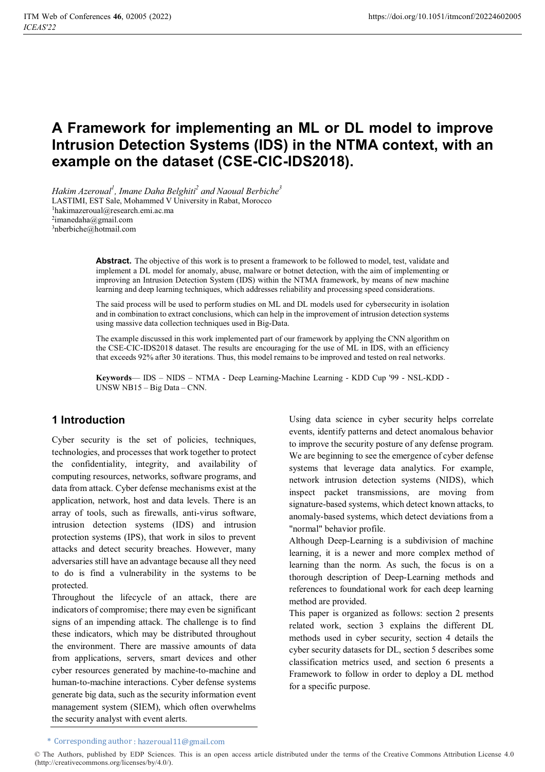# **A Framework for implementing an ML or DL model to improve Intrusion Detection Systems (IDS) in the NTMA context, with an example on the dataset (CSE-CIC-IDS2018).**

*Hakim Azeroual<sup>1</sup> , Imane Daha Belghiti2 and Naoual Berbiche3* LASTIMI, EST Sale, Mohammed V University in Rabat, Morocco 1hakimazeroual@research.emi.ac.ma 2imanedaha@gmail.com 3nberbiche@hotmail.com

> **Abstract.** The objective of this work is to present a framework to be followed to model, test, validate and implement a DL model for anomaly, abuse, malware or botnet detection, with the aim of implementing or improving an Intrusion Detection System (IDS) within the NTMA framework, by means of new machine learning and deep learning techniques, which addresses reliability and processing speed considerations.

> The said process will be used to perform studies on ML and DL models used for cybersecurity in isolation and in combination to extract conclusions, which can help in the improvement of intrusion detection systems using massive data collection techniques used in Big-Data.

> The example discussed in this work implemented part of our framework by applying the CNN algorithm on the CSE-CIC-IDS2018 dataset. The results are encouraging for the use of ML in IDS, with an efficiency that exceeds 92% after 30 iterations. Thus, this model remains to be improved and tested on real networks.

> **Keywords**— IDS – NIDS – NTMA - Deep Learning-Machine Learning - KDD Cup '99 - NSL-KDD - UNSW NB15 – Big Data – CNN.

### **1 Introduction**

Cyber security is the set of policies, techniques, technologies, and processes that work together to protect the confidentiality, integrity, and availability of computing resources, networks, software programs, and data from attack. Cyber defense mechanisms exist at the application, network, host and data levels. There is an array of tools, such as firewalls, anti-virus software, intrusion detection systems (IDS) and intrusion protection systems (IPS), that work in silos to prevent attacks and detect security breaches. However, many adversaries still have an advantage because all they need to do is find a vulnerability in the systems to be protected.

Throughout the lifecycle of an attack, there are indicators of compromise; there may even be significant signs of an impending attack. The challenge is to find these indicators, which may be distributed throughout the environment. There are massive amounts of data from applications, servers, smart devices and other cyber resources generated by machine-to-machine and human-to-machine interactions. Cyber defense systems generate big data, such as the security information event management system (SIEM), which often overwhelms the security analyst with event alerts.

Using data science in cyber security helps correlate events, identify patterns and detect anomalous behavior to improve the security posture of any defense program. We are beginning to see the emergence of cyber defense systems that leverage data analytics. For example, network intrusion detection systems (NIDS), which inspect packet transmissions, are moving from signature-based systems, which detect known attacks, to anomaly-based systems, which detect deviations from a "normal" behavior profile.

Although Deep-Learning is a subdivision of machine learning, it is a newer and more complex method of learning than the norm. As such, the focus is on a thorough description of Deep-Learning methods and references to foundational work for each deep learning method are provided.

This paper is organized as follows: section 2 presents related work, section 3 explains the different DL methods used in cyber security, section 4 details the cyber security datasets for DL, section 5 describes some classification metrics used, and section 6 presents a Framework to follow in order to deploy a DL method for a specific purpose.

<sup>\*</sup> Corresponding author : hazeroual11@gmail.com

<sup>©</sup> The Authors, published by EDP Sciences. This is an open access article distributed under the terms of the Creative Commons Attribution License 4.0 (http://creativecommons.org/licenses/by/4.0/).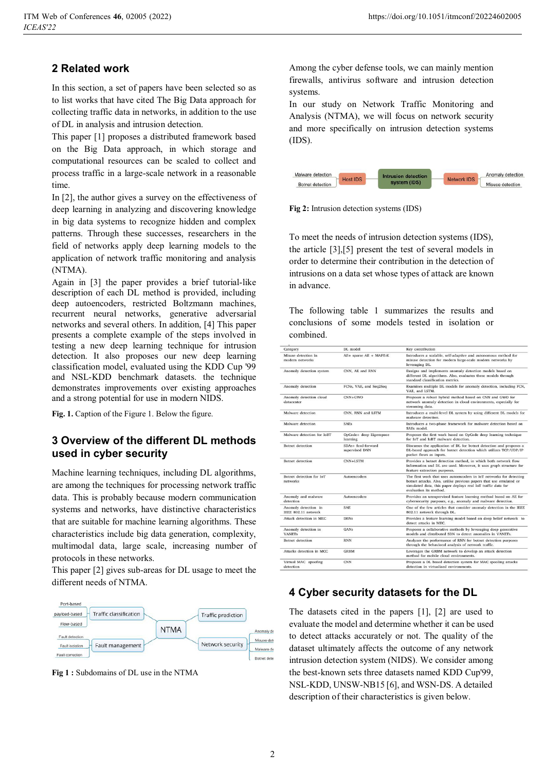### **2 Related work**

In this section, a set of papers have been selected so as to list works that have cited The Big Data approach for collecting traffic data in networks, in addition to the use of DL in analysis and intrusion detection.

This paper [1] proposes a distributed framework based on the Big Data approach, in which storage and computational resources can be scaled to collect and process traffic in a large-scale network in a reasonable time.

In [2], the author gives a survey on the effectiveness of deep learning in analyzing and discovering knowledge in big data systems to recognize hidden and complex patterns. Through these successes, researchers in the field of networks apply deep learning models to the application of network traffic monitoring and analysis (NTMA).

Again in [3] the paper provides a brief tutorial-like description of each DL method is provided, including deep autoencoders, restricted Boltzmann machines, recurrent neural networks, generative adversarial networks and several others. In addition, [4] This paper presents a complete example of the steps involved in testing a new deep learning technique for intrusion detection. It also proposes our new deep learning classification model, evaluated using the KDD Cup '99 and NSL-KDD benchmark datasets. the technique demonstrates improvements over existing approaches and a strong potential for use in modern NIDS.

**Fig. 1.** Caption of the Figure 1. Below the figure.

### **3 Overview of the different DL methods used in cyber security**

Machine learning techniques, including DL algorithms, are among the techniques for processing network traffic data. This is probably because modern communication systems and networks, have distinctive characteristics that are suitable for machine learning algorithms. These characteristics include big data generation, complexity, multimodal data, large scale, increasing number of protocols in these networks.

This paper [2] gives sub-areas for DL usage to meet the different needs of NTMA.



**Fig 1 :** Subdomains of DL use in the NTMA

Among the cyber defense tools, we can mainly mention firewalls, antivirus software and intrusion detection systems.

In our study on Network Traffic Monitoring and Analysis (NTMA), we will focus on network security and more specifically on intrusion detection systems (IDS).



**Fig 2:** Intrusion detection systems (IDS)

To meet the needs of intrusion detection systems (IDS), the article [3],[5] present the test of several models in order to determine their contribution in the detection of intrusions on a data set whose types of attack are known in advance.

The following table 1 summarizes the results and conclusions of some models tested in isolation or combined.

| Category                                    | DL model                             | Key contribution                                                                                                                                                                                                                   |  |
|---------------------------------------------|--------------------------------------|------------------------------------------------------------------------------------------------------------------------------------------------------------------------------------------------------------------------------------|--|
| Misuse detection in<br>modern networks      | AE+ sparse AE + MAPE-K               | Introduces a scalable, self-adaptive and autonomous method for<br>misuse detection for modern large-scale modern networks by<br>leveraging DL.                                                                                     |  |
| Anomaly detection system                    | CNN, AE and RNN                      | Designs and implements anomaly detection models based on<br>different DL algorithms. Also, evaluates these models through<br>standard classification metrics.                                                                      |  |
| Anomaly detection                           | FCNs, VAE, and Seq2Seq               | Examines multiple DL models for anomaly detection, including FCN,<br>VAE, and LSTM.                                                                                                                                                |  |
| Anomaly detection cloud<br>datacenter       | $CNN+GWO$                            | Proposes a robust hybrid method based on CNN and GWO for<br>network anomaly detection in cloud environments, especially for<br>streaming data.                                                                                     |  |
| Malware detection                           | CNN, RNN and LSTM                    | Introduces a multi-level DL system by using different DL models for<br>malware detection.                                                                                                                                          |  |
| Malware detection                           | <b>SAEs</b>                          | Introduces a two-phase framework for malware detection based on<br>SAEs model.                                                                                                                                                     |  |
| Malware detection for JoBT                  | OpCode+ deep Eigenspace<br>learning  | Proposes the first work based on OpCode deep learning technique<br>for IoT and IoBT malware detection.                                                                                                                             |  |
| Botnet detection                            | SDAs+ feed-forward<br>supervised DNN | Discusses the application of DL for botnet detection and proposes a<br>DL-based approach for botnet detection which utilizes TCP/UDP/IP<br>packet flows as inputs.                                                                 |  |
| <b>Botnet</b> detection                     | CNN+LSTM                             | Provides a botnet detection method, in which both network flow<br>information and DL are used. Moreover, it uses graph structure for<br>feature extraction purposes.                                                               |  |
| Botnet detection for IoT<br>networks        | Autoencoders                         | The first work that uses autoencoders in IoT networks for detecting<br>botnet attacks. Also, unlike previous papers that use emulated or<br>simulated data, this paper deploys real IoT traffic data for<br>evaluation its method. |  |
| Anomaly and malware<br>detection            | Autoencoders                         | Provides an unsupervised feature learning method based on AE for<br>cybersecurity purposes, e.g., anomaly and malware detection.                                                                                                   |  |
| Anomaly detection in<br>IEEE 802.11 network | <b>SAE</b>                           | One of the few articles that consider anomaly detection in the IEEE<br>802.11 network through DL.                                                                                                                                  |  |
| Attack detection in MEC                     | <b>DBNs</b>                          | Provides a feature learning model based on deep belief network to<br>detect attacks in MEC.                                                                                                                                        |  |
| Anomaly detection in<br><b>VANETs</b>       | <b>GANs</b>                          | Proposes a collaborative methods by leveraging deep generative<br>models and distributed SDN to detect anomalies in VANETs.                                                                                                        |  |
| <b>Botnet</b> detection                     | <b>RNN</b>                           | Analyzes the performance of RNN for botnet detection purposes<br>through the behavioral analysis of network traffic.                                                                                                               |  |
| Attacks detection in MCC                    | <b>GRBM</b>                          | Leverages the GRBM network to develop an attack detection<br>method for mobile cloud environments.                                                                                                                                 |  |
| Virtual MAC spoofing<br>detection           | <b>CNN</b>                           | Proposes a DL based detection system for MAC spooling attacks<br>detection in virtualized environments.                                                                                                                            |  |

#### **4 Cyber security datasets for the DL**

The datasets cited in the papers [1], [2] are used to evaluate the model and determine whether it can be used to detect attacks accurately or not. The quality of the dataset ultimately affects the outcome of any network intrusion detection system (NIDS). We consider among the best-known sets three datasets named KDD Cup'99, NSL-KDD, UNSW-NB15 [6], and WSN-DS. A detailed description of their characteristics is given below.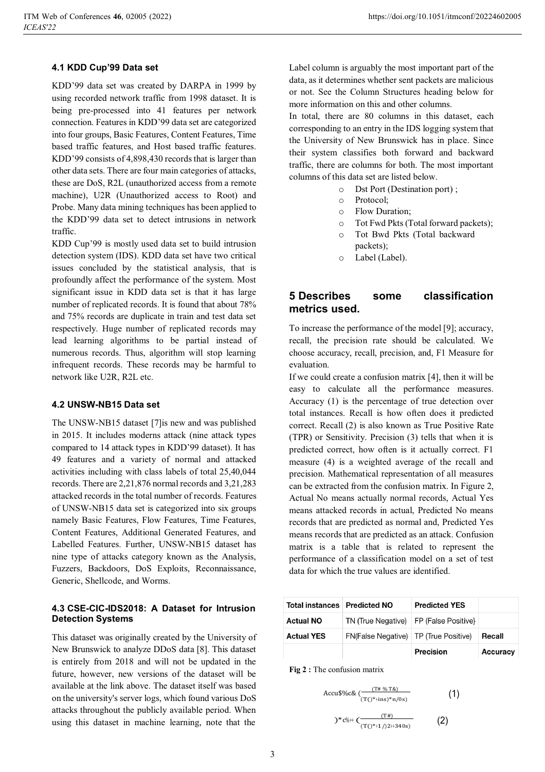#### **4.1 KDD Cup'99 Data set**

KDD'99 data set was created by DARPA in 1999 by using recorded network traffic from 1998 dataset. It is being pre-processed into 41 features per network connection. Features in KDD'99 data set are categorized into four groups, Basic Features, Content Features, Time based traffic features, and Host based traffic features. KDD'99 consists of 4,898,430 records that is larger than other data sets. There are four main categories of attacks, these are DoS, R2L (unauthorized access from a remote machine), U2R (Unauthorized access to Root) and Probe. Many data mining techniques has been applied to the KDD'99 data set to detect intrusions in network traffic.

KDD Cup'99 is mostly used data set to build intrusion detection system (IDS). KDD data set have two critical issues concluded by the statistical analysis, that is profoundly affect the performance of the system. Most significant issue in KDD data set is that it has large number of replicated records. It is found that about 78% and 75% records are duplicate in train and test data set respectively. Huge number of replicated records may lead learning algorithms to be partial instead of numerous records. Thus, algorithm will stop learning infrequent records. These records may be harmful to network like U2R, R2L etc.

#### **4.2 UNSW-NB15 Data set**

The UNSW-NB15 dataset [7]is new and was published in 2015. It includes moderns attack (nine attack types compared to 14 attack types in KDD'99 dataset). It has 49 features and a variety of normal and attacked activities including with class labels of total 25,40,044 records. There are 2,21,876 normal records and 3,21,283 attacked records in the total number of records. Features of UNSW-NB15 data set is categorized into six groups namely Basic Features, Flow Features, Time Features, Content Features, Additional Generated Features, and Labelled Features. Further, UNSW-NB15 dataset has nine type of attacks category known as the Analysis, Fuzzers, Backdoors, DoS Exploits, Reconnaissance, Generic, Shellcode, and Worms.

#### **4.3 CSE-CIC-IDS2018: A Dataset for Intrusion Detection Systems**

This dataset was originally created by the University of New Brunswick to analyze DDoS data [8]. This dataset is entirely from 2018 and will not be updated in the future, however, new versions of the dataset will be available at the link above. The dataset itself was based on the university's server logs, which found various DoS attacks throughout the publicly available period. When using this dataset in machine learning, note that the

Label column is arguably the most important part of the data, as it determines whether sent packets are malicious or not. See the Column Structures heading below for more information on this and other columns.

In total, there are 80 columns in this dataset, each corresponding to an entry in the IDS logging system that the University of New Brunswick has in place. Since their system classifies both forward and backward traffic, there are columns for both. The most important columns of this data set are listed below.

- o Dst Port (Destination port) ;
- o Protocol;
- o Flow Duration;
- o Tot Fwd Pkts (Total forward packets);
- o Tot Bwd Pkts (Total backward packets);
- o Label (Label).

### **5 Describes some classification metrics used.**

To increase the performance of the model [9]; accuracy, recall, the precision rate should be calculated. We choose accuracy, recall, precision, and, F1 Measure for evaluation.

If we could create a confusion matrix [4], then it will be easy to calculate all the performance measures. Accuracy (1) is the percentage of true detection over total instances. Recall is how often does it predicted correct. Recall (2) is also known as True Positive Rate (TPR) or Sensitivity. Precision (3) tells that when it is predicted correct, how often is it actually correct. F1 measure (4) is a weighted average of the recall and precision. Mathematical representation of all measures can be extracted from the confusion matrix. In Figure 2, Actual No means actually normal records, Actual Yes means attacked records in actual, Predicted No means records that are predicted as normal and, Predicted Yes means records that are predicted as an attack. Confusion matrix is a table that is related to represent the performance of a classification model on a set of test data for which the true values are identified.

| Total instances   Predicted NO |                                          | <b>Predicted YES</b> |          |
|--------------------------------|------------------------------------------|----------------------|----------|
| <b>Actual NO</b>               | TN (True Negative)   FP (False Positive) |                      |          |
| <b>Actual YES</b>              | FN(False Negative)   TP (True Positive)  |                      | Recall   |
|                                |                                          | Precision            | Accuracy |

(1)

**Fig 2 :** The confusion matrix

$$
Accu$\%c\&\left(\frac{(T# \% T\&)}{(T()^*+ins)^*n/0s)}\right)
$$

$$
)^{*c\#+} \left( \frac{(\text{I}\#)}{(\text{I}()^{*+1})^{2+340s)}} \right) \tag{2}
$$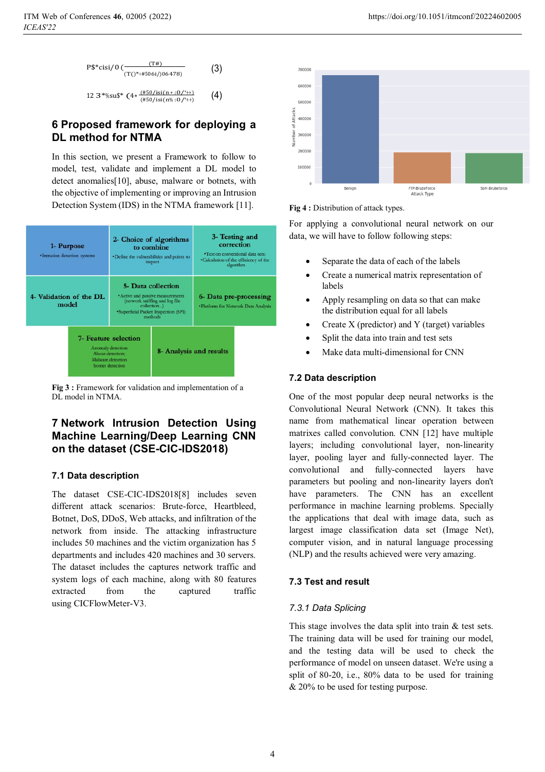$$
\frac{\text{PS}* \text{cisi/0} \left( \frac{(\text{TP})}{(\text{TC})^* + \text{HS06i/06478}} \right)}{(10)^*}
$$
 (3)

12 3\*%su\$\*  $(4*\frac{(\#50/isi(n*10/*)+1)}{(\#50/isi(n*10/*)+1)}$ (4)

### **6 Proposed framework for deploying a DL method for NTMA**

In this section, we present a Framework to follow to model, test, validate and implement a DL model to detect anomalies[10], abuse, malware or botnets, with the objective of implementing or improving an Intrusion Detection System (IDS) in the NTMA framework [11].



**Fig 3 :** Framework for validation and implementation of a DL model in NTMA.

### **7 Network Intrusion Detection Using Machine Learning/Deep Learning CNN on the dataset (CSE-CIC-IDS2018)**

#### **7.1 Data description**

The dataset CSE-CIC-IDS2018[8] includes seven different attack scenarios: Brute-force, Heartbleed, Botnet, DoS, DDoS, Web attacks, and infiltration of the network from inside. The attacking infrastructure includes 50 machines and the victim organization has 5 departments and includes 420 machines and 30 servers. The dataset includes the captures network traffic and system logs of each machine, along with 80 features extracted from the captured traffic using CICFlowMeter-V3.





For applying a convolutional neural network on our data, we will have to follow following steps:

- -Separate the data of each of the labels
- - Create a numerical matrix representation of labels
- - Apply resampling on data so that can make the distribution equal for all labels
- -Create X (predictor) and Y (target) variables
- -Split the data into train and test sets
- -Make data multi-dimensional for CNN

#### **7.2 Data description**

One of the most popular deep neural networks is the Convolutional Neural Network (CNN). It takes this name from mathematical linear operation between matrixes called convolution. CNN [12] have multiple layers; including convolutional layer, non-linearity layer, pooling layer and fully-connected layer. The convolutional and fully-connected layers have parameters but pooling and non-linearity layers don't have parameters. The CNN has an excellent performance in machine learning problems. Specially the applications that deal with image data, such as largest image classification data set (Image Net), computer vision, and in natural language processing (NLP) and the results achieved were very amazing.

#### **7.3 Test and result**

#### *7.3.1 Data Splicing*

This stage involves the data split into train & test sets. The training data will be used for training our model, and the testing data will be used to check the performance of model on unseen dataset. We're using a split of 80-20, i.e., 80% data to be used for training & 20% to be used for testing purpose.